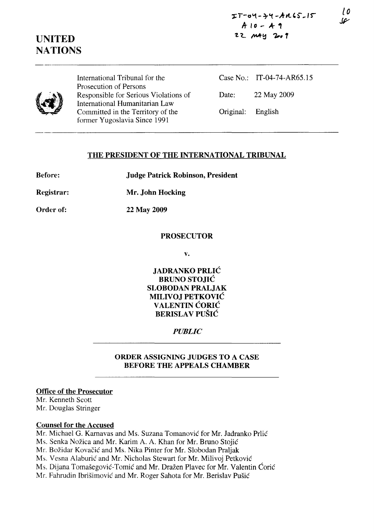*to*  **JI-"** 

# **UNITED NATIONS**

International Tribunal for the Prosecution of Persons Responsible for Serious Violations of International Humanitarian Law Committed in the Territory of the fonner Yugoslavia Since 1991

Case No.: IT-04-74-AR65.15 Date: 22 May 2009 Original: English

# **THE PRESIDENT OF THE INTERNATIONAL TRIBUNAL**

| <b>Before:</b> | <b>Judge Patrick Robinson, President</b> |
|----------------|------------------------------------------|
|----------------|------------------------------------------|

**Registrar: Mr. John Hocking** 

**Order of: 22 May 2009** 

# **PROSECUTOR**

**v.** 

**JADRANKO PRLIC BRUNO STOJIC SLOBODAN PRALJAK MILIVOJ PETKOVIC VALENTIN CORIC BERISLA V PUSIC** 

# *PUBLIC*

**ORDER ASSIGNING JUDGES TO A CASE BEFORE THE APPEALS CHAMBER** 

### **Office of the Prosecutor**

Mr. Kenneth Scott Mr. Douglas Stringer

### **Counsel for the Accused**

Mr. Michael G. Karnavas and Ms. Suzana Tomanovic for Mr. ladranko Prlic

Ms. Senka Nožica and Mr. Karim A. A. Khan for Mr. Bruno Stojić

Mr. Božidar Kovačić and Ms. Nika Pinter for Mr. Slobodan Praljak

Ms. Vesna Alaburic and Mr. Nicholas Stewart for Mr. Milivoj Petkovic

Ms. Dijana Tomašegović-Tomić and Mr. Dražen Plavec for Mr. Valentin Ćorić

Mr. Fahrudin Ibrisimovic and Mr. Roger Sahota for Mr. Berislav Pusic